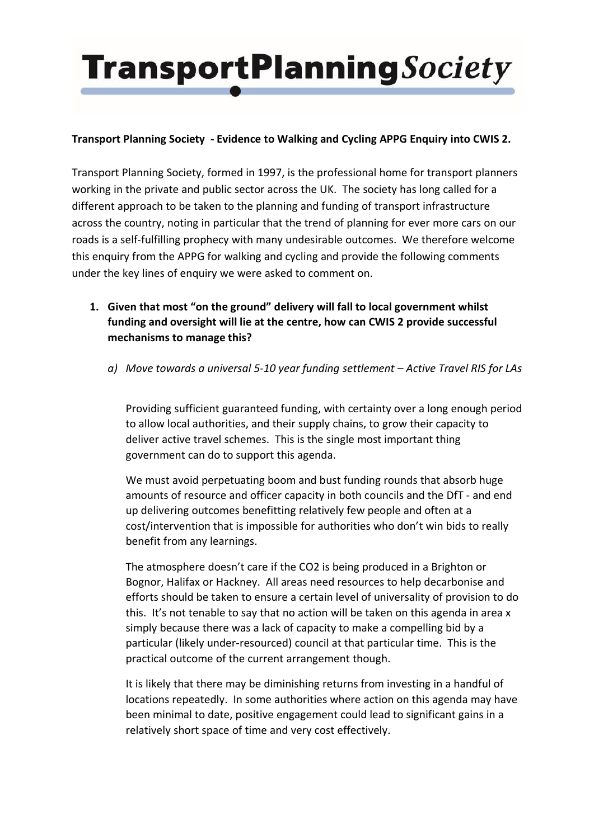### **Transport Planning Society - Evidence to Walking and Cycling APPG Enquiry into CWIS 2.**

Transport Planning Society, formed in 1997, is the professional home for transport planners working in the private and public sector across the UK. The society has long called for a different approach to be taken to the planning and funding of transport infrastructure across the country, noting in particular that the trend of planning for ever more cars on our roads is a self-fulfilling prophecy with many undesirable outcomes. We therefore welcome this enquiry from the APPG for walking and cycling and provide the following comments under the key lines of enquiry we were asked to comment on.

- **1. Given that most "on the ground" delivery will fall to local government whilst funding and oversight will lie at the centre, how can CWIS 2 provide successful mechanisms to manage this?**
	- *a) Move towards a universal 5-10 year funding settlement – Active Travel RIS for LAs*

Providing sufficient guaranteed funding, with certainty over a long enough period to allow local authorities, and their supply chains, to grow their capacity to deliver active travel schemes. This is the single most important thing government can do to support this agenda.

We must avoid perpetuating boom and bust funding rounds that absorb huge amounts of resource and officer capacity in both councils and the DfT - and end up delivering outcomes benefitting relatively few people and often at a cost/intervention that is impossible for authorities who don't win bids to really benefit from any learnings.

The atmosphere doesn't care if the CO2 is being produced in a Brighton or Bognor, Halifax or Hackney. All areas need resources to help decarbonise and efforts should be taken to ensure a certain level of universality of provision to do this. It's not tenable to say that no action will be taken on this agenda in area x simply because there was a lack of capacity to make a compelling bid by a particular (likely under-resourced) council at that particular time. This is the practical outcome of the current arrangement though.

It is likely that there may be diminishing returns from investing in a handful of locations repeatedly. In some authorities where action on this agenda may have been minimal to date, positive engagement could lead to significant gains in a relatively short space of time and very cost effectively.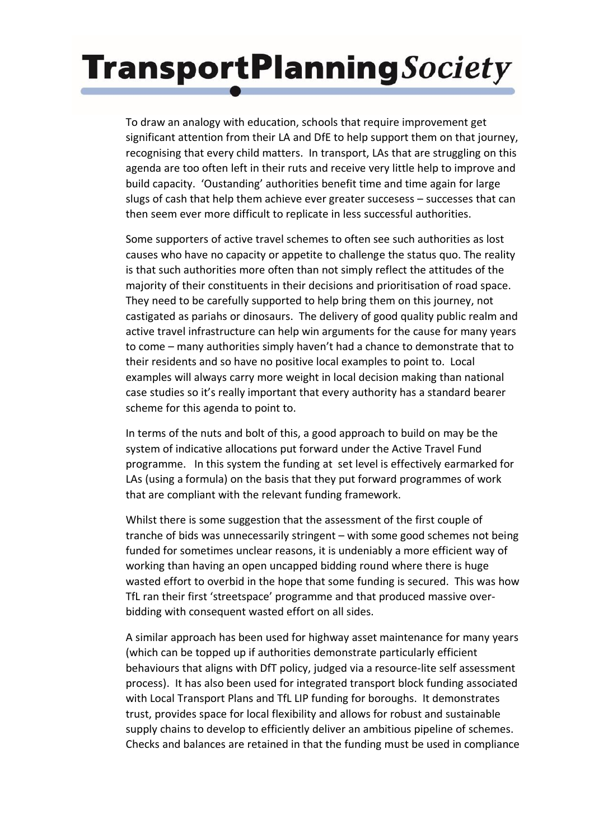To draw an analogy with education, schools that require improvement get significant attention from their LA and DfE to help support them on that journey, recognising that every child matters. In transport, LAs that are struggling on this agenda are too often left in their ruts and receive very little help to improve and build capacity. 'Oustanding' authorities benefit time and time again for large slugs of cash that help them achieve ever greater succesess – successes that can then seem ever more difficult to replicate in less successful authorities.

Some supporters of active travel schemes to often see such authorities as lost causes who have no capacity or appetite to challenge the status quo. The reality is that such authorities more often than not simply reflect the attitudes of the majority of their constituents in their decisions and prioritisation of road space. They need to be carefully supported to help bring them on this journey, not castigated as pariahs or dinosaurs. The delivery of good quality public realm and active travel infrastructure can help win arguments for the cause for many years to come – many authorities simply haven't had a chance to demonstrate that to their residents and so have no positive local examples to point to. Local examples will always carry more weight in local decision making than national case studies so it's really important that every authority has a standard bearer scheme for this agenda to point to.

In terms of the nuts and bolt of this, a good approach to build on may be the system of indicative allocations put forward under the Active Travel Fund programme. In this system the funding at set level is effectively earmarked for LAs (using a formula) on the basis that they put forward programmes of work that are compliant with the relevant funding framework.

Whilst there is some suggestion that the assessment of the first couple of tranche of bids was unnecessarily stringent – with some good schemes not being funded for sometimes unclear reasons, it is undeniably a more efficient way of working than having an open uncapped bidding round where there is huge wasted effort to overbid in the hope that some funding is secured. This was how TfL ran their first 'streetspace' programme and that produced massive overbidding with consequent wasted effort on all sides.

A similar approach has been used for highway asset maintenance for many years (which can be topped up if authorities demonstrate particularly efficient behaviours that aligns with DfT policy, judged via a resource-lite self assessment process). It has also been used for integrated transport block funding associated with Local Transport Plans and TfL LIP funding for boroughs. It demonstrates trust, provides space for local flexibility and allows for robust and sustainable supply chains to develop to efficiently deliver an ambitious pipeline of schemes. Checks and balances are retained in that the funding must be used in compliance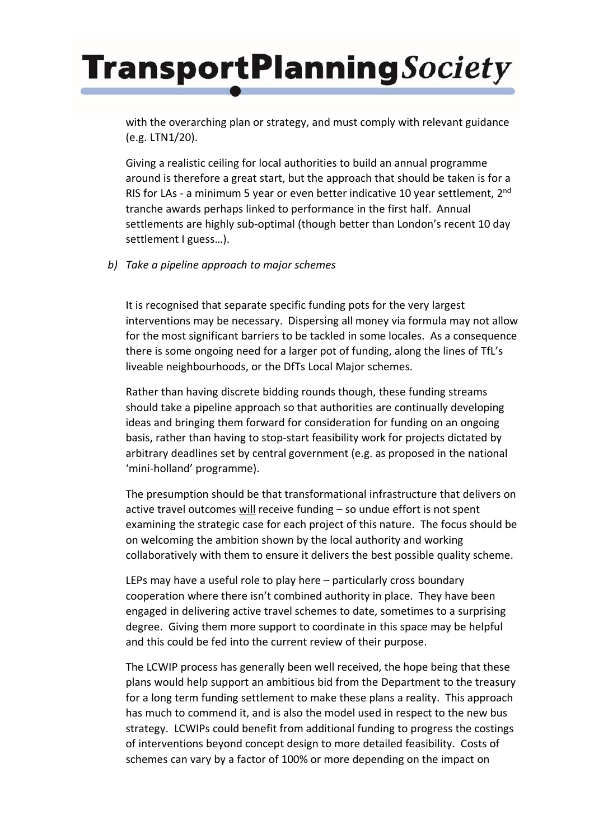with the overarching plan or strategy, and must comply with relevant guidance (e.g. LTN1/20).

Giving a realistic ceiling for local authorities to build an annual programme around is therefore a great start, but the approach that should be taken is for a RIS for LAs - a minimum 5 year or even better indicative 10 year settlement, 2<sup>nd</sup> tranche awards perhaps linked to performance in the first half. Annual settlements are highly sub-optimal (though better than London's recent 10 day settlement I guess…).

*b) Take a pipeline approach to major schemes*

It is recognised that separate specific funding pots for the very largest interventions may be necessary. Dispersing all money via formula may not allow for the most significant barriers to be tackled in some locales. As a consequence there is some ongoing need for a larger pot of funding, along the lines of TfL's liveable neighbourhoods, or the DfTs Local Major schemes.

Rather than having discrete bidding rounds though, these funding streams should take a pipeline approach so that authorities are continually developing ideas and bringing them forward for consideration for funding on an ongoing basis, rather than having to stop-start feasibility work for projects dictated by arbitrary deadlines set by central government (e.g. as proposed in the national 'mini-holland' programme).

The presumption should be that transformational infrastructure that delivers on active travel outcomes will receive funding - so undue effort is not spent examining the strategic case for each project of this nature. The focus should be on welcoming the ambition shown by the local authority and working collaboratively with them to ensure it delivers the best possible quality scheme.

LEPs may have a useful role to play here – particularly cross boundary cooperation where there isn't combined authority in place. They have been engaged in delivering active travel schemes to date, sometimes to a surprising degree. Giving them more support to coordinate in this space may be helpful and this could be fed into the current review of their purpose.

The LCWIP process has generally been well received, the hope being that these plans would help support an ambitious bid from the Department to the treasury for a long term funding settlement to make these plans a reality. This approach has much to commend it, and is also the model used in respect to the new bus strategy. LCWIPs could benefit from additional funding to progress the costings of interventions beyond concept design to more detailed feasibility. Costs of schemes can vary by a factor of 100% or more depending on the impact on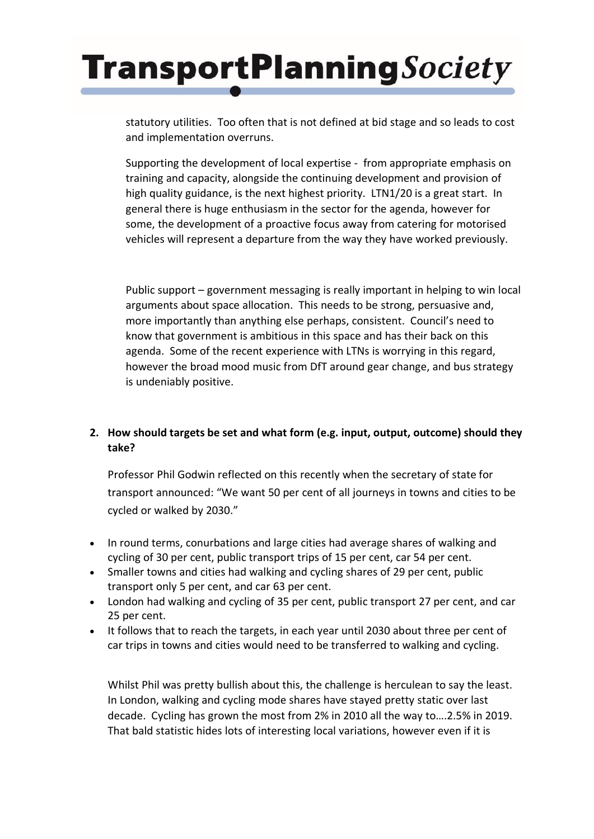statutory utilities. Too often that is not defined at bid stage and so leads to cost and implementation overruns.

Supporting the development of local expertise - from appropriate emphasis on training and capacity, alongside the continuing development and provision of high quality guidance, is the next highest priority. LTN1/20 is a great start. In general there is huge enthusiasm in the sector for the agenda, however for some, the development of a proactive focus away from catering for motorised vehicles will represent a departure from the way they have worked previously.

Public support – government messaging is really important in helping to win local arguments about space allocation. This needs to be strong, persuasive and, more importantly than anything else perhaps, consistent. Council's need to know that government is ambitious in this space and has their back on this agenda. Some of the recent experience with LTNs is worrying in this regard, however the broad mood music from DfT around gear change, and bus strategy is undeniably positive.

## **2. How should targets be set and what form (e.g. input, output, outcome) should they take?**

Professor Phil Godwin reflected on this recently when the secretary of state for transport announced: "We want 50 per cent of all journeys in towns and cities to be cycled or walked by 2030."

- In round terms, conurbations and large cities had average shares of walking and cycling of 30 per cent, public transport trips of 15 per cent, car 54 per cent.
- Smaller towns and cities had walking and cycling shares of 29 per cent, public transport only 5 per cent, and car 63 per cent.
- London had walking and cycling of 35 per cent, public transport 27 per cent, and car 25 per cent.
- It follows that to reach the targets, in each year until 2030 about three per cent of car trips in towns and cities would need to be transferred to walking and cycling.

Whilst Phil was pretty bullish about this, the challenge is herculean to say the least. In London, walking and cycling mode shares have stayed pretty static over last decade. Cycling has grown the most from 2% in 2010 all the way to….2.5% in 2019. That bald statistic hides lots of interesting local variations, however even if it is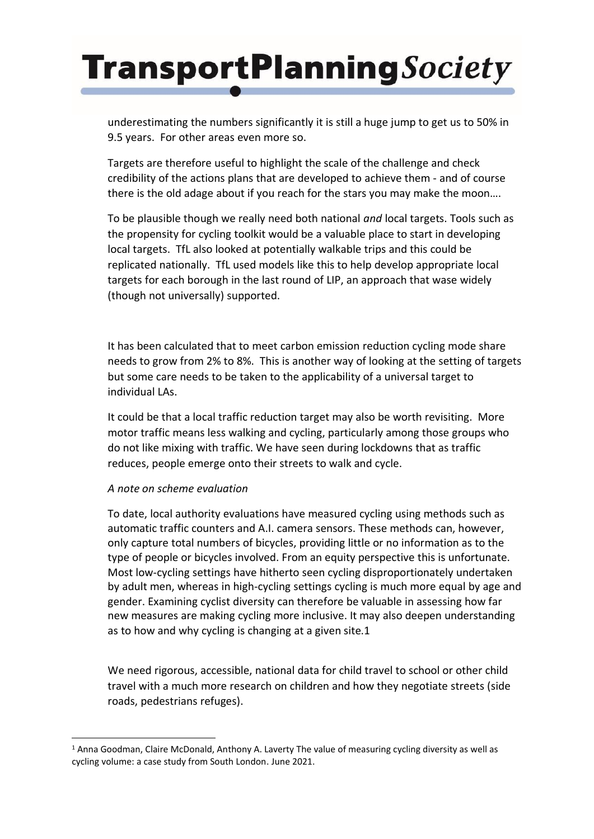underestimating the numbers significantly it is still a huge jump to get us to 50% in 9.5 years. For other areas even more so.

Targets are therefore useful to highlight the scale of the challenge and check credibility of the actions plans that are developed to achieve them - and of course there is the old adage about if you reach for the stars you may make the moon….

To be plausible though we really need both national *and* local targets. Tools such as the propensity for cycling toolkit would be a valuable place to start in developing local targets. TfL also looked at potentially walkable trips and this could be replicated nationally. TfL used models like this to help develop appropriate local targets for each borough in the last round of LIP, an approach that wase widely (though not universally) supported.

It has been calculated that to meet carbon emission reduction cycling mode share needs to grow from 2% to 8%. This is another way of looking at the setting of targets but some care needs to be taken to the applicability of a universal target to individual LAs.

It could be that a local traffic reduction target may also be worth revisiting. More motor traffic means less walking and cycling, particularly among those groups who do not like mixing with traffic. We have seen during lockdowns that as traffic reduces, people emerge onto their streets to walk and cycle.

#### *A note on scheme evaluation*

To date, local authority evaluations have measured cycling using methods such as automatic traffic counters and A.I. camera sensors. These methods can, however, only capture total numbers of bicycles, providing little or no information as to the type of people or bicycles involved. From an equity perspective this is unfortunate. Most low-cycling settings have hitherto seen cycling disproportionately undertaken by adult men, whereas in high-cycling settings cycling is much more equal by age and gender. Examining cyclist diversity can therefore be valuable in assessing how far new measures are making cycling more inclusive. It may also deepen understanding as to how and why cycling is changing at a given site.1

We need rigorous, accessible, national data for child travel to school or other child travel with a much more research on children and how they negotiate streets (side roads, pedestrians refuges).

<sup>1</sup> Anna Goodman, Claire McDonald, Anthony A. Laverty The value of measuring cycling diversity as well as cycling volume: a case study from South London. June 2021.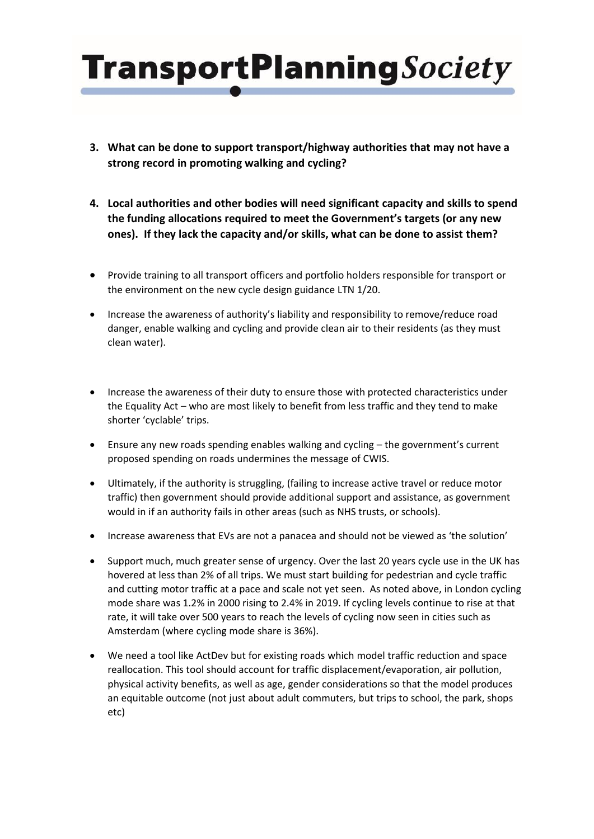- **3. What can be done to support transport/highway authorities that may not have a strong record in promoting walking and cycling?**
- **4. Local authorities and other bodies will need significant capacity and skills to spend the funding allocations required to meet the Government's targets (or any new ones). If they lack the capacity and/or skills, what can be done to assist them?**
- Provide training to all transport officers and portfolio holders responsible for transport or the environment on the new cycle design guidance LTN 1/20.
- Increase the awareness of authority's liability and responsibility to remove/reduce road danger, enable walking and cycling and provide clean air to their residents (as they must clean water).
- Increase the awareness of their duty to ensure those with protected characteristics under the Equality Act – who are most likely to benefit from less traffic and they tend to make shorter 'cyclable' trips.
- Ensure any new roads spending enables walking and cycling the government's current proposed spending on roads undermines the message of CWIS.
- Ultimately, if the authority is struggling, (failing to increase active travel or reduce motor traffic) then government should provide additional support and assistance, as government would in if an authority fails in other areas (such as NHS trusts, or schools).
- Increase awareness that EVs are not a panacea and should not be viewed as 'the solution'
- Support much, much greater sense of urgency. Over the last 20 years cycle use in the UK has hovered at less than 2% of all trips. We must start building for pedestrian and cycle traffic and cutting motor traffic at a pace and scale not yet seen. As noted above, in London cycling mode share was 1.2% in 2000 rising to 2.4% in 2019. If cycling levels continue to rise at that rate, it will take over 500 years to reach the levels of cycling now seen in cities such as Amsterdam (where cycling mode share is 36%).
- We need a tool like ActDev but for existing roads which model traffic reduction and space reallocation. This tool should account for traffic displacement/evaporation, air pollution, physical activity benefits, as well as age, gender considerations so that the model produces an equitable outcome (not just about adult commuters, but trips to school, the park, shops etc)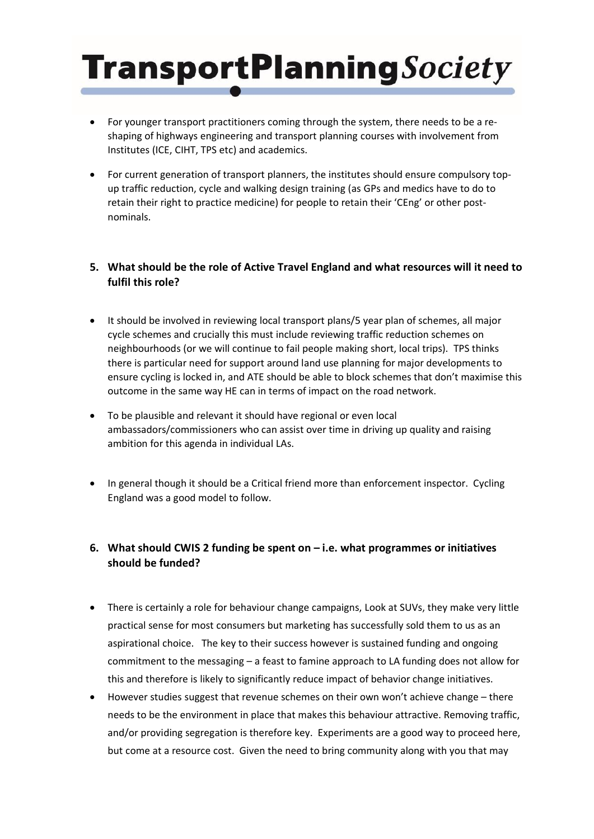- For younger transport practitioners coming through the system, there needs to be a reshaping of highways engineering and transport planning courses with involvement from Institutes (ICE, CIHT, TPS etc) and academics.
- For current generation of transport planners, the institutes should ensure compulsory topup traffic reduction, cycle and walking design training (as GPs and medics have to do to retain their right to practice medicine) for people to retain their 'CEng' or other postnominals.

### **5. What should be the role of Active Travel England and what resources will it need to fulfil this role?**

- It should be involved in reviewing local transport plans/5 year plan of schemes, all major cycle schemes and crucially this must include reviewing traffic reduction schemes on neighbourhoods (or we will continue to fail people making short, local trips). TPS thinks there is particular need for support around land use planning for major developments to ensure cycling is locked in, and ATE should be able to block schemes that don't maximise this outcome in the same way HE can in terms of impact on the road network.
- To be plausible and relevant it should have regional or even local ambassadors/commissioners who can assist over time in driving up quality and raising ambition for this agenda in individual LAs.
- In general though it should be a Critical friend more than enforcement inspector. Cycling England was a good model to follow.

### **6. What should CWIS 2 funding be spent on – i.e. what programmes or initiatives should be funded?**

- There is certainly a role for behaviour change campaigns, Look at SUVs, they make very little practical sense for most consumers but marketing has successfully sold them to us as an aspirational choice. The key to their success however is sustained funding and ongoing commitment to the messaging – a feast to famine approach to LA funding does not allow for this and therefore is likely to significantly reduce impact of behavior change initiatives.
- However studies suggest that revenue schemes on their own won't achieve change there needs to be the environment in place that makes this behaviour attractive. Removing traffic, and/or providing segregation is therefore key. Experiments are a good way to proceed here, but come at a resource cost. Given the need to bring community along with you that may